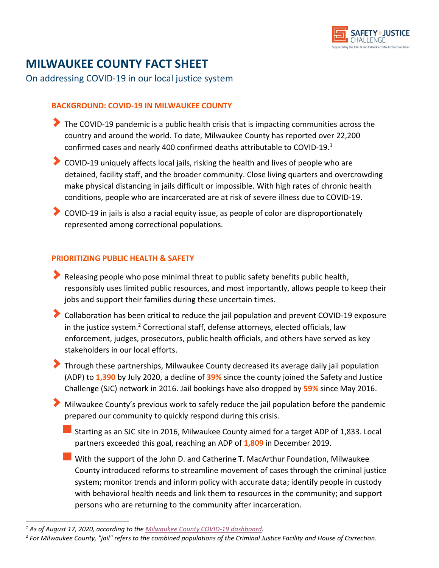

# **MILWAUKEE COUNTY FACT SHEET**

On addressing COVID-19 in our local justice system

### **BACKGROUND: COVID-19 IN MILWAUKEE COUNTY**

- $\blacktriangleright$  The COVID-19 pandemic is a public health crisis that is impacting communities across the country and around the world. To date, Milwaukee County has reported over 22,200 confirmed cases and nearly 400 confirmed deaths attributable to COVID-19.<sup>1</sup>
- COVID-19 uniquely affects local jails, risking the health and lives of people who are detained, facility staff, and the broader community. Close living quarters and overcrowding make physical distancing in jails difficult or impossible. With high rates of chronic health conditions, people who are incarcerated are at risk of severe illness due to COVID-19.
- COVID-19 in jails is also a racial equity issue, as people of color are disproportionately represented among correctional populations.

## **PRIORITIZING PUBLIC HEALTH & SAFETY**

- Releasing people who pose minimal threat to public safety benefits public health, responsibly uses limited public resources, and most importantly, allows people to keep their jobs and support their families during these uncertain times.
- Collaboration has been critical to reduce the jail population and prevent COVID-19 exposure in the justice system. <sup>2</sup> Correctional staff, defense attorneys, elected officials, law enforcement, judges, prosecutors, public health officials, and others have served as key stakeholders in our local efforts.
- Through these partnerships, Milwaukee County decreased its average daily jail population (ADP) to **1,390** by July 2020, a decline of **39%** since the county joined the Safety and Justice Challenge (SJC) network in 2016. Jail bookings have also dropped by **59%** since May 2016.
- Milwaukee County's previous work to safely reduce the jail population before the pandemic prepared our community to quickly respond during this crisis.
	- Starting as an SJC site in 2016, Milwaukee County aimed for a target ADP of 1,833. Local partners exceeded this goal, reaching an ADP of **1,809** in December 2019.
	- With the support of the John D. and Catherine T. MacArthur Foundation, Milwaukee County introduced reforms to streamline movement of cases through the criminal justice system; monitor trends and inform policy with accurate data; identify people in custody with behavioral health needs and link them to resources in the community; and support persons who are returning to the community after incarceration.

*<sup>1</sup> As of August 17, 2020, according to the [Milwaukee County COVID-19 dashboard.](https://county.milwaukee.gov/EN/COVID-19)* 

*<sup>2</sup> For Milwaukee County, "jail" refers to the combined populations of the Criminal Justice Facility and House of Correction.*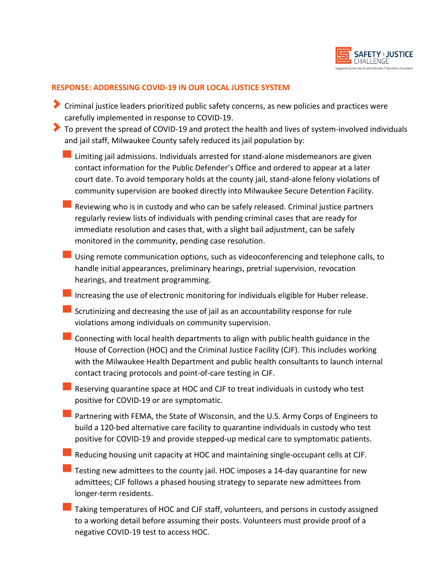

#### **RESPONSE: ADDRESSING COVID-19 IN OUR LOCAL JUSTICE SYSTEM**

- Criminal justice leaders prioritized public safety concerns, as new policies and practices were carefully implemented in response to COVID-19.
- To prevent the spread of COVID-19 and protect the health and lives of system-involved individuals and jail staff, Milwaukee County safely reduced its jail population by:
	- $\blacksquare$  Limiting jail admissions. Individuals arrested for stand-alone misdemeanors are given contact information for the Public Defender's Office and ordered to appear at a later court date. To avoid temporary holds at the county jail, stand-alone felony violations of community supervision are booked directly into Milwaukee Secure Detention Facility.
	- Reviewing who is in custody and who can be safely released. Criminal justice partners regularly review lists of individuals with pending criminal cases that are ready for immediate resolution and cases that, with a slight bail adjustment, can be safely monitored in the community, pending case resolution.
	- Using remote communication options, such as videoconferencing and telephone calls, to handle initial appearances, preliminary hearings, pretrial supervision, revocation hearings, and treatment programming.
	- Increasing the use of electronic monitoring for individuals eligible for Huber release.
	- $\blacksquare$  Scrutinizing and decreasing the use of jail as an accountability response for rule violations among individuals on community supervision.
	- Connecting with local health departments to align with public health guidance in the House of Correction (HOC) and the Criminal Justice Facility (CJF). This includes working with the Milwaukee Health Department and public health consultants to launch internal contact tracing protocols and point-of-care testing in CJF.
	- Reserving quarantine space at HOC and CJF to treat individuals in custody who test positive for COVID-19 or are symptomatic.
	- **Partnering with FEMA, the State of Wisconsin, and the U.S. Army Corps of Engineers to** build a 120-bed alternative care facility to quarantine individuals in custody who test positive for COVID-19 and provide stepped-up medical care to symptomatic patients.
	- Reducing housing unit capacity at HOC and maintaining single-occupant cells at CJF.
	- $\blacksquare$  Testing new admittees to the county jail. HOC imposes a 14-day quarantine for new admittees; CJF follows a phased housing strategy to separate new admittees from longer-term residents.
	- Taking temperatures of HOC and CJF staff, volunteers, and persons in custody assigned to a working detail before assuming their posts. Volunteers must provide proof of a negative COVID-19 test to access HOC.